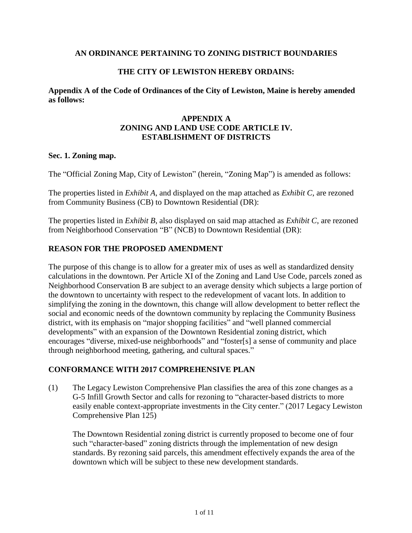## **AN ORDINANCE PERTAINING TO ZONING DISTRICT BOUNDARIES**

## **THE CITY OF LEWISTON HEREBY ORDAINS:**

**Appendix A of the Code of Ordinances of the City of Lewiston, Maine is hereby amended as follows:**

## **APPENDIX A ZONING AND LAND USE CODE ARTICLE IV. ESTABLISHMENT OF DISTRICTS**

#### **Sec. 1. Zoning map.**

The "Official Zoning Map, City of Lewiston" (herein, "Zoning Map") is amended as follows:

The properties listed in *Exhibit A*, and displayed on the map attached as *Exhibit C*, are rezoned from Community Business (CB) to Downtown Residential (DR):

The properties listed in *Exhibit B*, also displayed on said map attached as *Exhibit C*, are rezoned from Neighborhood Conservation "B" (NCB) to Downtown Residential (DR):

### **REASON FOR THE PROPOSED AMENDMENT**

The purpose of this change is to allow for a greater mix of uses as well as standardized density calculations in the downtown. Per Article XI of the Zoning and Land Use Code, parcels zoned as Neighborhood Conservation B are subject to an average density which subjects a large portion of the downtown to uncertainty with respect to the redevelopment of vacant lots. In addition to simplifying the zoning in the downtown, this change will allow development to better reflect the social and economic needs of the downtown community by replacing the Community Business district, with its emphasis on "major shopping facilities" and "well planned commercial developments" with an expansion of the Downtown Residential zoning district, which encourages "diverse, mixed-use neighborhoods" and "foster[s] a sense of community and place through neighborhood meeting, gathering, and cultural spaces."

## **CONFORMANCE WITH 2017 COMPREHENSIVE PLAN**

(1) The Legacy Lewiston Comprehensive Plan classifies the area of this zone changes as a G-5 Infill Growth Sector and calls for rezoning to "character-based districts to more easily enable context-appropriate investments in the City center." (2017 Legacy Lewiston Comprehensive Plan 125)

The Downtown Residential zoning district is currently proposed to become one of four such "character-based" zoning districts through the implementation of new design standards. By rezoning said parcels, this amendment effectively expands the area of the downtown which will be subject to these new development standards.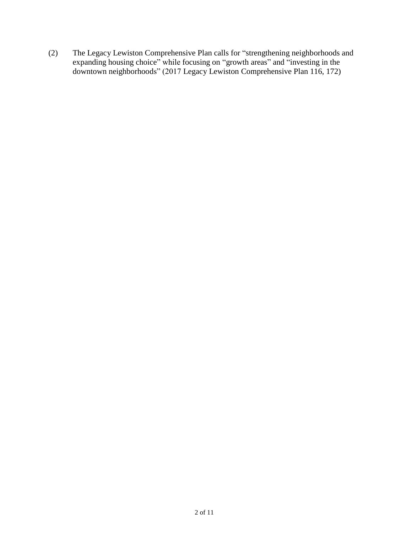(2) The Legacy Lewiston Comprehensive Plan calls for "strengthening neighborhoods and expanding housing choice" while focusing on "growth areas" and "investing in the downtown neighborhoods" (2017 Legacy Lewiston Comprehensive Plan 116, 172)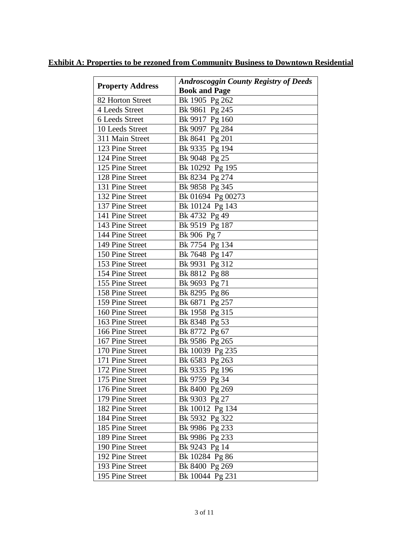| <b>Property Address</b> | <b>Androscoggin County Registry of Deeds</b> |
|-------------------------|----------------------------------------------|
|                         | <b>Book and Page</b>                         |
| 82 Horton Street        | Bk 1905 Pg 262                               |
| 4 Leeds Street          | Bk 9861 Pg 245                               |
| 6 Leeds Street          | Bk 9917 Pg 160                               |
| 10 Leeds Street         | Bk 9097 Pg 284                               |
| 311 Main Street         | Bk 8641 Pg 201                               |
| 123 Pine Street         | Bk 9335 Pg 194                               |
| 124 Pine Street         | Bk 9048 Pg 25                                |
| 125 Pine Street         | Bk 10292 Pg 195                              |
| 128 Pine Street         | Bk 8234 Pg 274                               |
| 131 Pine Street         | Bk 9858 Pg 345                               |
| 132 Pine Street         | Bk 01694 Pg 00273                            |
| 137 Pine Street         | Bk 10124 Pg 143                              |
| 141 Pine Street         | Bk 4732 Pg 49                                |
| 143 Pine Street         | Bk 9519 Pg 187                               |
| 144 Pine Street         | Bk 906 Pg 7                                  |
| 149 Pine Street         | Bk 7754 Pg 134                               |
| 150 Pine Street         | Bk 7648 Pg 147                               |
| 153 Pine Street         | Bk 9931 Pg 312                               |
| 154 Pine Street         | Bk 8812 Pg 88                                |
| 155 Pine Street         | Bk 9693 Pg 71                                |
| 158 Pine Street         | Bk 8295 Pg 86                                |
| 159 Pine Street         | Bk 6871 Pg 257                               |
| 160 Pine Street         | Bk 1958 Pg 315                               |
| 163 Pine Street         | Bk 8348 Pg 53                                |
| 166 Pine Street         | Bk 8772 Pg 67                                |
| 167 Pine Street         | Bk 9586 Pg 265                               |
| 170 Pine Street         | Bk 10039 Pg 235                              |
| 171 Pine Street         | Bk 6583 Pg 263                               |
| 172 Pine Street         | Bk 9335 Pg 196                               |
| 175 Pine Street         | Bk 9759 Pg 34                                |
| 176 Pine Street         | Bk 8400 Pg 269                               |
| 179 Pine Street         | Bk 9303 Pg 27                                |
| 182 Pine Street         | Bk 10012 Pg 134                              |
| 184 Pine Street         | Bk 5932 Pg 322                               |
| 185 Pine Street         | Bk 9986 Pg 233                               |
| 189 Pine Street         | Bk 9986 Pg 233                               |
| 190 Pine Street         | Bk 9243 Pg 14                                |
| 192 Pine Street         | Bk 10284 Pg 86                               |
| 193 Pine Street         | Bk 8400 Pg 269                               |
| 195 Pine Street         | Bk 10044 Pg 231                              |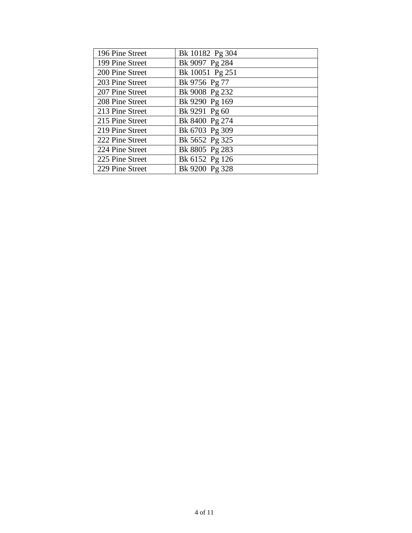| 196 Pine Street | Bk 10182 Pg 304 |
|-----------------|-----------------|
| 199 Pine Street | Bk 9097 Pg 284  |
| 200 Pine Street | Bk 10051 Pg 251 |
| 203 Pine Street | Bk 9756 Pg 77   |
| 207 Pine Street | Bk 9008 Pg 232  |
| 208 Pine Street | Bk 9290 Pg 169  |
| 213 Pine Street | Bk 9291 Pg 60   |
| 215 Pine Street | Bk 8400 Pg 274  |
| 219 Pine Street | Bk 6703 Pg 309  |
| 222 Pine Street | Bk 5652 Pg 325  |
| 224 Pine Street | Bk 8805 Pg 283  |
| 225 Pine Street | Bk 6152 Pg 126  |
| 229 Pine Street | Bk 9200 Pg 328  |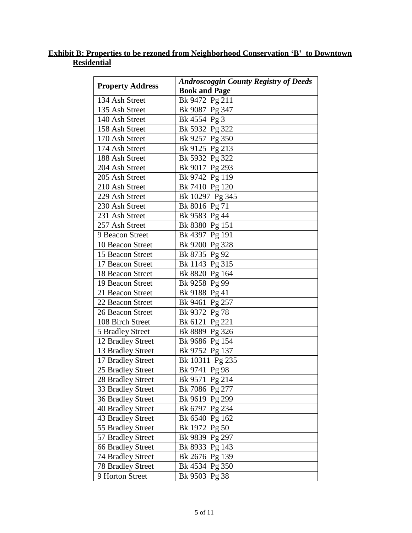# **Exhibit B: Properties to be rezoned from Neighborhood Conservation 'B' to Downtown Residential**

| <b>Property Address</b>  | <b>Androscoggin County Registry of Deeds</b> |
|--------------------------|----------------------------------------------|
|                          | <b>Book and Page</b>                         |
| 134 Ash Street           | Bk 9472 Pg 211                               |
| 135 Ash Street           | Bk 9087 Pg 347                               |
| 140 Ash Street           | Bk 4554 Pg 3                                 |
| 158 Ash Street           | Bk 5932 Pg 322                               |
| 170 Ash Street           | Bk 9257 Pg 350                               |
| 174 Ash Street           | Bk 9125 Pg 213                               |
| 188 Ash Street           | Bk 5932 Pg 322                               |
| 204 Ash Street           | Bk 9017 Pg 293                               |
| 205 Ash Street           | Bk 9742 Pg 119                               |
| 210 Ash Street           | Bk 7410 Pg 120                               |
| 229 Ash Street           | Bk 10297 Pg 345                              |
| 230 Ash Street           | Bk 8016 Pg 71                                |
| 231 Ash Street           | Bk 9583 Pg 44                                |
| 257 Ash Street           | Bk 8380 Pg 151                               |
| 9 Beacon Street          | Bk 4397 Pg 191                               |
| 10 Beacon Street         | Bk 9200 Pg 328                               |
| 15 Beacon Street         | Bk 8735 Pg 92                                |
| 17 Beacon Street         | Bk 1143 Pg 315                               |
| 18 Beacon Street         | Bk 8820 Pg 164                               |
| 19 Beacon Street         | Bk 9258 Pg 99                                |
| 21 Beacon Street         | Bk 9188 Pg 41                                |
| 22 Beacon Street         | Bk 9461 Pg 257                               |
| 26 Beacon Street         | Bk 9372 Pg 78                                |
| 108 Birch Street         | Bk 6121 Pg 221                               |
| 5 Bradley Street         | Bk 8889 Pg 326                               |
| 12 Bradley Street        | Bk 9686 Pg 154                               |
| 13 Bradley Street        | Bk 9752 Pg 137                               |
| 17 Bradley Street        | Bk 10311 Pg 235                              |
| 25 Bradley Street        | Bk 9741 Pg 98                                |
| 28 Bradley Street        | Bk 9571 Pg 214                               |
| 33 Bradley Street        | Bk 7086 Pg 277                               |
| 36 Bradley Street        | Bk 9619 Pg 299                               |
| <b>40 Bradley Street</b> | Bk 6797 Pg 234                               |
| 43 Bradley Street        | Bk 6540 Pg 162                               |
| 55 Bradley Street        | Bk 1972 Pg 50                                |
| 57 Bradley Street        | Bk 9839 Pg 297                               |
| <b>66 Bradley Street</b> | Bk 8933 Pg 143                               |
| 74 Bradley Street        | Bk 2676 Pg 139                               |
| <b>78 Bradley Street</b> | Bk 4534 Pg 350                               |
| 9 Horton Street          | Bk 9503 Pg 38                                |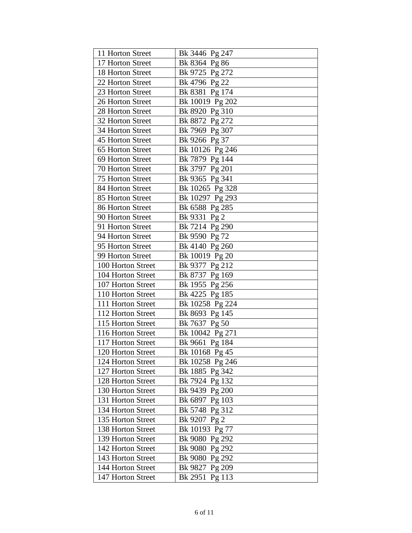| 11 Horton Street  | Bk 3446 Pg 247  |
|-------------------|-----------------|
| 17 Horton Street  | Bk 8364 Pg 86   |
| 18 Horton Street  | Bk 9725 Pg 272  |
| 22 Horton Street  | Bk 4796 Pg 22   |
| 23 Horton Street  | Bk 8381 Pg 174  |
| 26 Horton Street  | Bk 10019 Pg 202 |
| 28 Horton Street  | Bk 8920 Pg 310  |
| 32 Horton Street  | Bk 8872 Pg 272  |
| 34 Horton Street  | Bk 7969 Pg 307  |
| 45 Horton Street  | Bk 9266 Pg 37   |
| 65 Horton Street  | Bk 10126 Pg 246 |
| 69 Horton Street  | Bk 7879 Pg 144  |
| 70 Horton Street  | Bk 3797 Pg 201  |
| 75 Horton Street  | Bk 9365 Pg 341  |
| 84 Horton Street  | Bk 10265 Pg 328 |
| 85 Horton Street  | Bk 10297 Pg 293 |
| 86 Horton Street  | Bk 6588 Pg 285  |
| 90 Horton Street  | Bk 9331 Pg 2    |
| 91 Horton Street  | Bk 7214 Pg 290  |
| 94 Horton Street  | Bk 9590 Pg 72   |
| 95 Horton Street  | Bk 4140 Pg 260  |
| 99 Horton Street  | Bk 10019 Pg 20  |
| 100 Horton Street | Bk 9377 Pg 212  |
| 104 Horton Street | Bk 8737 Pg 169  |
| 107 Horton Street | Bk 1955 Pg 256  |
| 110 Horton Street | Bk 4225 Pg 185  |
| 111 Horton Street | Bk 10258 Pg 224 |
| 112 Horton Street | Bk 8693 Pg 145  |
| 115 Horton Street | Bk 7637 Pg 50   |
| 116 Horton Street | Bk 10042 Pg 271 |
| 117 Horton Street | Bk 9661 Pg 184  |
| 120 Horton Street | Bk 10168 Pg 45  |
| 124 Horton Street | Bk 10258 Pg 246 |
| 127 Horton Street | Bk 1885 Pg 342  |
| 128 Horton Street | Bk 7924 Pg 132  |
| 130 Horton Street | Bk 9439 Pg 200  |
| 131 Horton Street | Bk 6897 Pg 103  |
| 134 Horton Street | Bk 5748 Pg 312  |
| 135 Horton Street | Bk 9207 Pg 2    |
| 138 Horton Street | Bk 10193 Pg 77  |
| 139 Horton Street | Bk 9080 Pg 292  |
| 142 Horton Street | Bk 9080 Pg 292  |
| 143 Horton Street | Bk 9080 Pg 292  |
| 144 Horton Street | Bk 9827 Pg 209  |
| 147 Horton Street | Bk 2951 Pg 113  |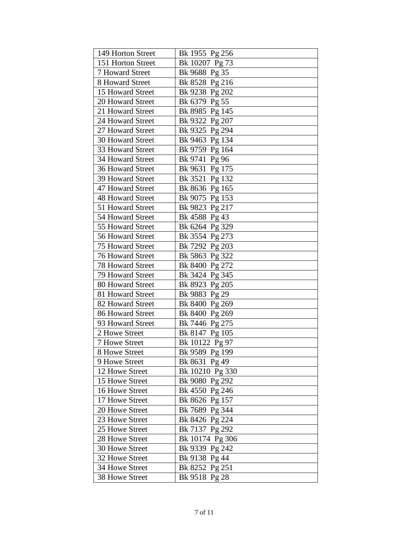| 149 Horton Street       | Bk 1955 Pg 256  |
|-------------------------|-----------------|
| 151 Horton Street       | Bk 10207 Pg 73  |
| 7 Howard Street         | Bk 9688 Pg 35   |
| 8 Howard Street         | Bk 8528 Pg 216  |
| 15 Howard Street        | Bk 9238 Pg 202  |
| 20 Howard Street        | Bk 6379 Pg 55   |
| 21 Howard Street        | Bk 8985 Pg 145  |
| 24 Howard Street        | Bk 9322 Pg 207  |
| 27 Howard Street        | Bk 9325 Pg 294  |
| 30 Howard Street        | Bk 9463 Pg 134  |
| 33 Howard Street        | Bk 9759 Pg 164  |
| 34 Howard Street        | Bk 9741 Pg 96   |
| 36 Howard Street        | Bk 9631 Pg 175  |
| 39 Howard Street        | Bk 3521 Pg 132  |
| 47 Howard Street        | Bk 8636 Pg 165  |
| 48 Howard Street        | Bk 9075 Pg 153  |
| 51 Howard Street        | Bk 9823 Pg 217  |
| 54 Howard Street        | Bk 4588 Pg 43   |
| 55 Howard Street        | Bk 6264 Pg 329  |
| 56 Howard Street        | Bk 3554 Pg 273  |
| <b>75 Howard Street</b> | Bk 7292 Pg 203  |
| <b>76 Howard Street</b> | Bk 5863 Pg 322  |
| <b>78 Howard Street</b> | Bk 8400 Pg 272  |
| 79 Howard Street        | Bk 3424 Pg 345  |
| 80 Howard Street        | Bk 8923 Pg 205  |
| 81 Howard Street        | Bk 9883 Pg 29   |
| 82 Howard Street        | Bk 8400 Pg 269  |
| 86 Howard Street        | Bk 8400 Pg 269  |
| 93 Howard Street        | Bk 7446 Pg 275  |
| 2 Howe Street           | Bk 8147 Pg 105  |
| 7 Howe Street           | Bk 10122 Pg 97  |
| 8 Howe Street           | Bk 9589 Pg 199  |
| 9 Howe Street           | Bk 8631 Pg 49   |
| 12 Howe Street          | Bk 10210 Pg 330 |
| 15 Howe Street          | Bk 9080 Pg 292  |
| 16 Howe Street          | Bk 4550 Pg 246  |
| 17 Howe Street          | Bk 8626 Pg 157  |
| 20 Howe Street          | Bk 7689 Pg 344  |
| 23 Howe Street          | Bk 8426 Pg 224  |
| 25 Howe Street          | Bk 7137 Pg 292  |
| 28 Howe Street          | Bk 10174 Pg 306 |
| 30 Howe Street          | Bk 9339 Pg 242  |
| 32 Howe Street          | Bk 9138 Pg 44   |
| 34 Howe Street          | Bk 8252 Pg 251  |
| 38 Howe Street          | Bk 9518 Pg 28   |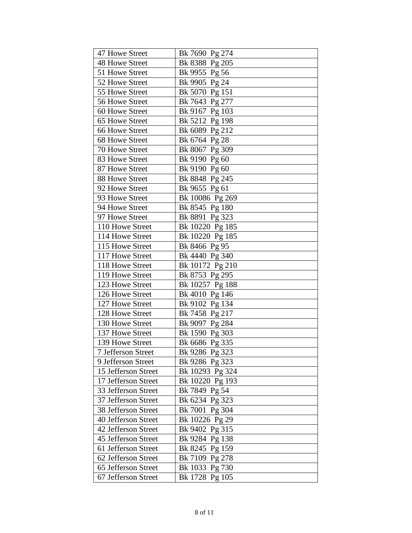| 47 Howe Street      | Bk 7690 Pg 274  |
|---------------------|-----------------|
| 48 Howe Street      | Bk 8388 Pg 205  |
| 51 Howe Street      | Bk 9955 Pg 56   |
| 52 Howe Street      | Bk 9905 Pg 24   |
| 55 Howe Street      | Bk 5070 Pg 151  |
| 56 Howe Street      | Bk 7643 Pg 277  |
| 60 Howe Street      | Bk 9167 Pg 103  |
| 65 Howe Street      | Bk 5212 Pg 198  |
| 66 Howe Street      | Bk 6089 Pg 212  |
| 68 Howe Street      | Bk 6764 Pg 28   |
| 70 Howe Street      | Bk 8067 Pg 309  |
| 83 Howe Street      | Bk 9190 Pg 60   |
| 87 Howe Street      | Bk 9190 Pg 60   |
| 88 Howe Street      | Bk 8848 Pg 245  |
| 92 Howe Street      | Bk 9655 Pg 61   |
| 93 Howe Street      | Bk 10086 Pg 269 |
| 94 Howe Street      | Bk 8545 Pg 180  |
| 97 Howe Street      | Bk 8891 Pg 323  |
| 110 Howe Street     | Bk 10220 Pg 185 |
| 114 Howe Street     | Bk 10220 Pg 185 |
| 115 Howe Street     | Bk 8466 Pg 95   |
| 117 Howe Street     | Bk 4440 Pg 340  |
| 118 Howe Street     | Bk 10172 Pg 210 |
| 119 Howe Street     | Bk 8753 Pg 295  |
| 123 Howe Street     | Bk 10257 Pg 188 |
| 126 Howe Street     | Bk 4010 Pg 146  |
| 127 Howe Street     | Bk 9102 Pg 134  |
| 128 Howe Street     | Bk 7458 Pg 217  |
| 130 Howe Street     | Bk 9097 Pg 284  |
| 137 Howe Street     | Bk 1590 Pg 303  |
| 139 Howe Street     | Bk 6686 Pg 335  |
| 7 Jefferson Street  | Bk 9286 Pg 323  |
| 9 Jefferson Street  | Bk 9286 Pg 323  |
| 15 Jefferson Street | Bk 10293 Pg 324 |
| 17 Jefferson Street | Bk 10220 Pg 193 |
| 33 Jefferson Street | Bk 7849 Pg 54   |
| 37 Jefferson Street | Bk 6234 Pg 323  |
| 38 Jefferson Street | Bk 7001 Pg 304  |
| 40 Jefferson Street | Bk 10226 Pg 29  |
| 42 Jefferson Street | Bk 9402 Pg 315  |
| 45 Jefferson Street | Bk 9284 Pg 138  |
| 61 Jefferson Street | Bk 8245 Pg 159  |
| 62 Jefferson Street | Bk 7109 Pg 278  |
| 65 Jefferson Street | Bk 1033 Pg 730  |
| 67 Jefferson Street | Bk 1728 Pg 105  |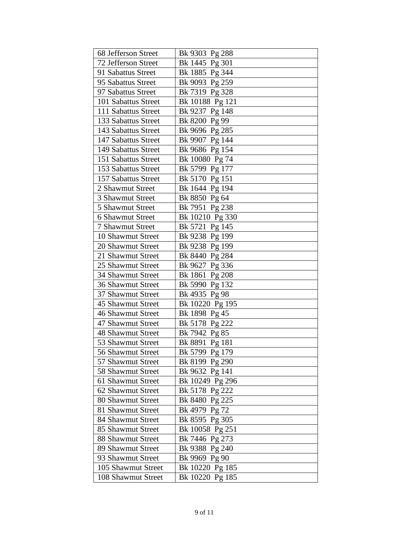| 68 Jefferson Street      | Bk 9303 Pg 288  |
|--------------------------|-----------------|
| 72 Jefferson Street      | Bk 1445 Pg 301  |
| 91 Sabattus Street       | Bk 1885 Pg 344  |
| 95 Sabattus Street       | Bk 9093 Pg 259  |
| 97 Sabattus Street       | Bk 7319 Pg 328  |
| 101 Sabattus Street      | Bk 10188 Pg 121 |
| 111 Sabattus Street      | Bk 9237 Pg 148  |
| 133 Sabattus Street      | Bk 8200 Pg 99   |
| 143 Sabattus Street      | Bk 9696 Pg 285  |
| 147 Sabattus Street      | Bk 9907 Pg 144  |
| 149 Sabattus Street      | Bk 9686 Pg 154  |
| 151 Sabattus Street      | Bk 10080 Pg 74  |
| 153 Sabattus Street      | Bk 5799 Pg 177  |
| 157 Sabattus Street      | Bk 5170 Pg 151  |
| 2 Shawmut Street         | Bk 1644 Pg 194  |
| 3 Shawmut Street         | Bk 8850 Pg 64   |
| 5 Shawmut Street         | Bk 7951 Pg 238  |
| 6 Shawmut Street         | Bk 10210 Pg 330 |
| <b>7 Shawmut Street</b>  | Bk 5721 Pg 145  |
| 10 Shawmut Street        | Bk 9238 Pg 199  |
| 20 Shawmut Street        | Bk 9238 Pg 199  |
| 21 Shawmut Street        | Bk 8440 Pg 284  |
| 25 Shawmut Street        | Bk 9627 Pg 336  |
| 34 Shawmut Street        | Bk 1861 Pg 208  |
| <b>36 Shawmut Street</b> | Bk 5990 Pg 132  |
| 37 Shawmut Street        | Bk 4935 Pg 98   |
| 45 Shawmut Street        | Bk 10220 Pg 195 |
| 46 Shawmut Street        | Bk 1898 Pg 45   |
| 47 Shawmut Street        | Bk 5178 Pg 222  |
| <b>48 Shawmut Street</b> | Bk 7942 Pg 85   |
| 53 Shawmut Street        | Bk 8891 Pg 181  |
| 56 Shawmut Street        | Bk 5799 Pg 179  |
| 57 Shawmut Street        | Bk 8199 Pg 290  |
| 58 Shawmut Street        | Bk 9632 Pg 141  |
| 61 Shawmut Street        | Bk 10249 Pg 296 |
| 62 Shawmut Street        | Bk 5178 Pg 222  |
| 80 Shawmut Street        | Bk 8480 Pg 225  |
| 81 Shawmut Street        | Bk 4979 Pg 72   |
| 84 Shawmut Street        | Bk 8595 Pg 305  |
| 85 Shawmut Street        | Bk 10058 Pg 251 |
| 88 Shawmut Street        | Bk 7446 Pg 273  |
| 89 Shawmut Street        | Bk 9388 Pg 240  |
| 93 Shawmut Street        | Bk 9969 Pg 90   |
| 105 Shawmut Street       | Bk 10220 Pg 185 |
| 108 Shawmut Street       | Bk 10220 Pg 185 |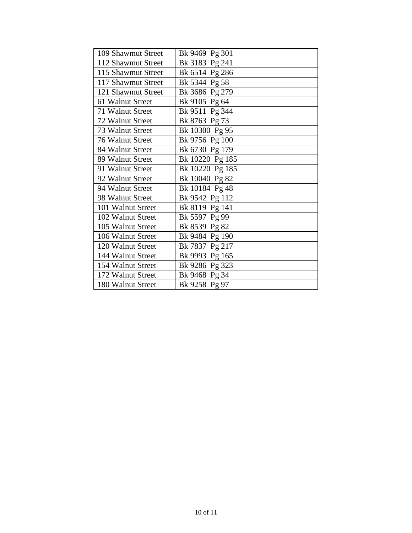| 109 Shawmut Street | Bk 9469 Pg 301  |
|--------------------|-----------------|
| 112 Shawmut Street | Bk 3183 Pg 241  |
| 115 Shawmut Street | Bk 6514 Pg 286  |
| 117 Shawmut Street | Bk 5344 Pg 58   |
| 121 Shawmut Street | Bk 3686 Pg 279  |
| 61 Walnut Street   | Bk 9105 Pg 64   |
| 71 Walnut Street   | Bk 9511 Pg 344  |
| 72 Walnut Street   | Bk 8763 Pg 73   |
| 73 Walnut Street   | Bk 10300 Pg 95  |
| 76 Walnut Street   | Bk 9756 Pg 100  |
| 84 Walnut Street   | Bk 6730 Pg 179  |
| 89 Walnut Street   | Bk 10220 Pg 185 |
| 91 Walnut Street   | Bk 10220 Pg 185 |
| 92 Walnut Street   | Bk 10040 Pg 82  |
| 94 Walnut Street   | Bk 10184 Pg 48  |
| 98 Walnut Street   | Bk 9542 Pg 112  |
| 101 Walnut Street  | Bk 8119 Pg 141  |
| 102 Walnut Street  | Bk 5597 Pg 99   |
| 105 Walnut Street  | Bk 8539 Pg 82   |
| 106 Walnut Street  | Bk 9484 Pg 190  |
| 120 Walnut Street  | Bk 7837 Pg 217  |
| 144 Walnut Street  | Bk 9993 Pg 165  |
| 154 Walnut Street  | Bk 9286 Pg 323  |
| 172 Walnut Street  | Bk 9468 Pg 34   |
| 180 Walnut Street  | Bk 9258 Pg 97   |